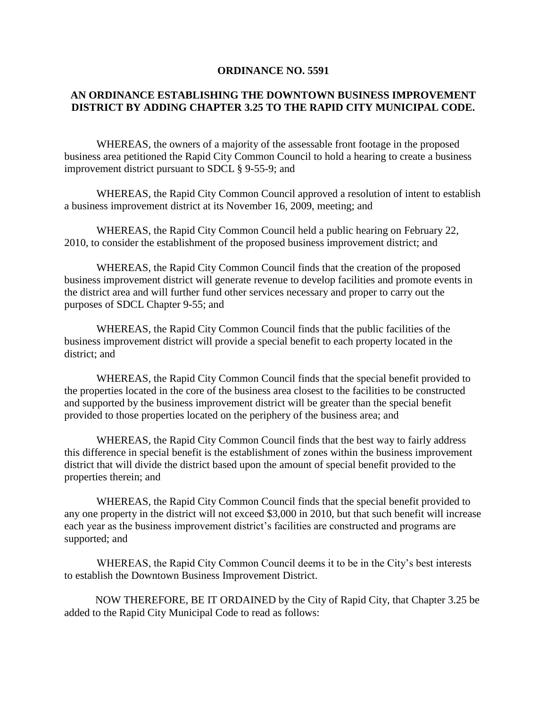#### **ORDINANCE NO. 5591**

### **AN ORDINANCE ESTABLISHING THE DOWNTOWN BUSINESS IMPROVEMENT DISTRICT BY ADDING CHAPTER 3.25 TO THE RAPID CITY MUNICIPAL CODE.**

WHEREAS, the owners of a majority of the assessable front footage in the proposed business area petitioned the Rapid City Common Council to hold a hearing to create a business improvement district pursuant to SDCL § 9-55-9; and

WHEREAS, the Rapid City Common Council approved a resolution of intent to establish a business improvement district at its November 16, 2009, meeting; and

WHEREAS, the Rapid City Common Council held a public hearing on February 22, 2010, to consider the establishment of the proposed business improvement district; and

WHEREAS, the Rapid City Common Council finds that the creation of the proposed business improvement district will generate revenue to develop facilities and promote events in the district area and will further fund other services necessary and proper to carry out the purposes of SDCL Chapter 9-55; and

WHEREAS, the Rapid City Common Council finds that the public facilities of the business improvement district will provide a special benefit to each property located in the district; and

WHEREAS, the Rapid City Common Council finds that the special benefit provided to the properties located in the core of the business area closest to the facilities to be constructed and supported by the business improvement district will be greater than the special benefit provided to those properties located on the periphery of the business area; and

WHEREAS, the Rapid City Common Council finds that the best way to fairly address this difference in special benefit is the establishment of zones within the business improvement district that will divide the district based upon the amount of special benefit provided to the properties therein; and

WHEREAS, the Rapid City Common Council finds that the special benefit provided to any one property in the district will not exceed \$3,000 in 2010, but that such benefit will increase each year as the business improvement district's facilities are constructed and programs are supported; and

WHEREAS, the Rapid City Common Council deems it to be in the City's best interests to establish the Downtown Business Improvement District.

NOW THEREFORE, BE IT ORDAINED by the City of Rapid City, that Chapter 3.25 be added to the Rapid City Municipal Code to read as follows: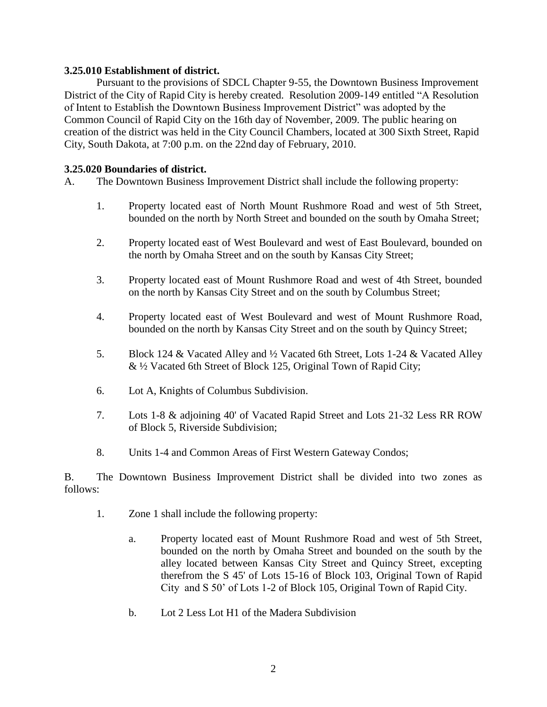#### **3.25.010 Establishment of district.**

Pursuant to the provisions of SDCL Chapter 9-55, the Downtown Business Improvement District of the City of Rapid City is hereby created. Resolution 2009-149 entitled "A Resolution of Intent to Establish the Downtown Business Improvement District" was adopted by the Common Council of Rapid City on the 16th day of November, 2009. The public hearing on creation of the district was held in the City Council Chambers, located at 300 Sixth Street, Rapid City, South Dakota, at 7:00 p.m. on the 22nd day of February, 2010.

#### **3.25.020 Boundaries of district.**

A. The Downtown Business Improvement District shall include the following property:

- 1. Property located east of North Mount Rushmore Road and west of 5th Street, bounded on the north by North Street and bounded on the south by Omaha Street;
- 2. Property located east of West Boulevard and west of East Boulevard, bounded on the north by Omaha Street and on the south by Kansas City Street;
- 3. Property located east of Mount Rushmore Road and west of 4th Street, bounded on the north by Kansas City Street and on the south by Columbus Street;
- 4. Property located east of West Boulevard and west of Mount Rushmore Road, bounded on the north by Kansas City Street and on the south by Quincy Street;
- 5. Block 124 & Vacated Alley and ½ Vacated 6th Street, Lots 1-24 & Vacated Alley & ½ Vacated 6th Street of Block 125, Original Town of Rapid City;
- 6. Lot A, Knights of Columbus Subdivision.
- 7. Lots 1-8 & adjoining 40' of Vacated Rapid Street and Lots 21-32 Less RR ROW of Block 5, Riverside Subdivision;
- 8. Units 1-4 and Common Areas of First Western Gateway Condos;

B. The Downtown Business Improvement District shall be divided into two zones as follows:

- 1. Zone 1 shall include the following property:
	- a. Property located east of Mount Rushmore Road and west of 5th Street, bounded on the north by Omaha Street and bounded on the south by the alley located between Kansas City Street and Quincy Street, excepting therefrom the S 45' of Lots 15-16 of Block 103, Original Town of Rapid City and S 50' of Lots 1-2 of Block 105, Original Town of Rapid City.
	- b. Lot 2 Less Lot H1 of the Madera Subdivision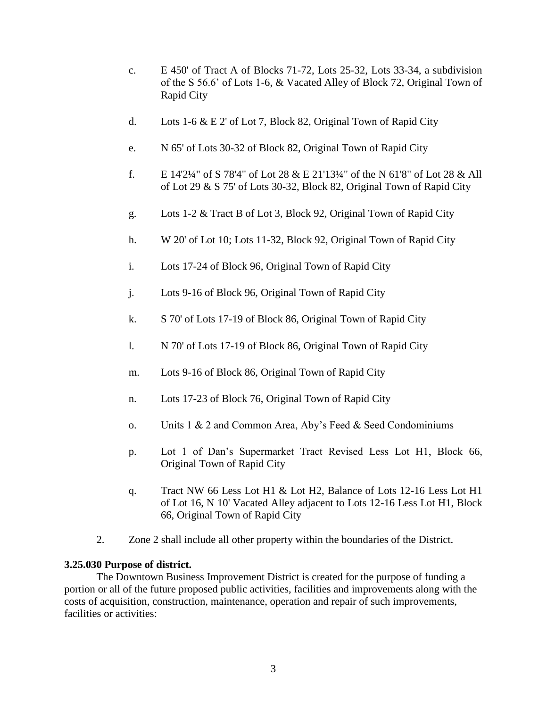- c. E 450' of Tract A of Blocks 71-72, Lots 25-32, Lots 33-34, a subdivision of the S 56.6' of Lots 1-6, & Vacated Alley of Block 72, Original Town of Rapid City
- d. Lots 1-6 & E 2' of Lot 7, Block 82, Original Town of Rapid City
- e. N 65' of Lots 30-32 of Block 82, Original Town of Rapid City
- f. E 14'2¼" of S 78'4" of Lot 28 & E 21'13¼" of the N 61'8" of Lot 28 & All of Lot 29 & S 75' of Lots 30-32, Block 82, Original Town of Rapid City
- g. Lots 1-2 & Tract B of Lot 3, Block 92, Original Town of Rapid City
- h. W 20' of Lot 10; Lots 11-32, Block 92, Original Town of Rapid City
- i. Lots 17-24 of Block 96, Original Town of Rapid City
- j. Lots 9-16 of Block 96, Original Town of Rapid City
- k. S 70' of Lots 17-19 of Block 86, Original Town of Rapid City
- l. N 70' of Lots 17-19 of Block 86, Original Town of Rapid City
- m. Lots 9-16 of Block 86, Original Town of Rapid City
- n. Lots 17-23 of Block 76, Original Town of Rapid City
- o. Units 1 & 2 and Common Area, Aby's Feed & Seed Condominiums
- p. Lot 1 of Dan's Supermarket Tract Revised Less Lot H1, Block 66, Original Town of Rapid City
- q. Tract NW 66 Less Lot H1 & Lot H2, Balance of Lots 12-16 Less Lot H1 of Lot 16, N 10' Vacated Alley adjacent to Lots 12-16 Less Lot H1, Block 66, Original Town of Rapid City
- 2. Zone 2 shall include all other property within the boundaries of the District.

### **3.25.030 Purpose of district.**

The Downtown Business Improvement District is created for the purpose of funding a portion or all of the future proposed public activities, facilities and improvements along with the costs of acquisition, construction, maintenance, operation and repair of such improvements, facilities or activities: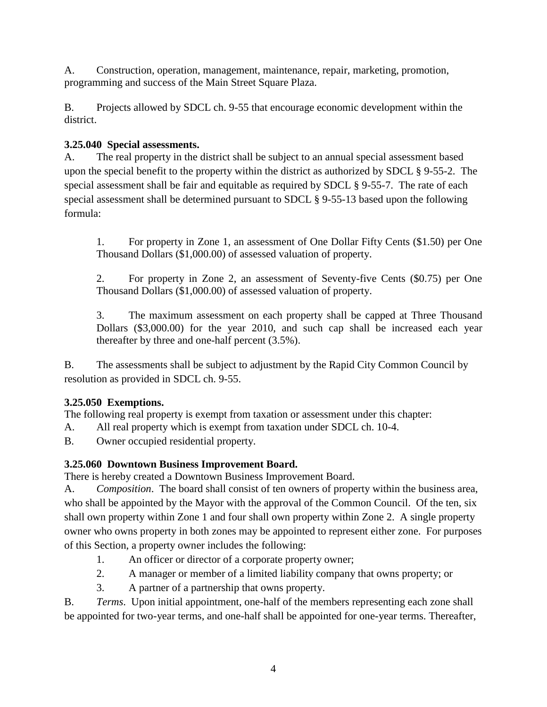A. Construction, operation, management, maintenance, repair, marketing, promotion, programming and success of the Main Street Square Plaza.

B. Projects allowed by SDCL ch. 9-55 that encourage economic development within the district.

## **3.25.040 Special assessments.**

A. The real property in the district shall be subject to an annual special assessment based upon the special benefit to the property within the district as authorized by SDCL § 9-55-2. The special assessment shall be fair and equitable as required by SDCL § 9-55-7. The rate of each special assessment shall be determined pursuant to SDCL § 9-55-13 based upon the following formula:

1. For property in Zone 1, an assessment of One Dollar Fifty Cents (\$1.50) per One Thousand Dollars (\$1,000.00) of assessed valuation of property.

2. For property in Zone 2, an assessment of Seventy-five Cents (\$0.75) per One Thousand Dollars (\$1,000.00) of assessed valuation of property.

3. The maximum assessment on each property shall be capped at Three Thousand Dollars (\$3,000.00) for the year 2010, and such cap shall be increased each year thereafter by three and one-half percent (3.5%).

B. The assessments shall be subject to adjustment by the Rapid City Common Council by resolution as provided in SDCL ch. 9-55.

## **3.25.050 Exemptions.**

The following real property is exempt from taxation or assessment under this chapter:

A. All real property which is exempt from taxation under SDCL ch. 10-4.

B. Owner occupied residential property.

# **3.25.060 Downtown Business Improvement Board.**

There is hereby created a Downtown Business Improvement Board.

A. *Composition*. The board shall consist of ten owners of property within the business area, who shall be appointed by the Mayor with the approval of the Common Council. Of the ten, six shall own property within Zone 1 and four shall own property within Zone 2. A single property owner who owns property in both zones may be appointed to represent either zone. For purposes of this Section, a property owner includes the following:

- 1. An officer or director of a corporate property owner;
- 2. A manager or member of a limited liability company that owns property; or
- 3. A partner of a partnership that owns property.

B. *Terms*. Upon initial appointment, one-half of the members representing each zone shall be appointed for two-year terms, and one-half shall be appointed for one-year terms. Thereafter,